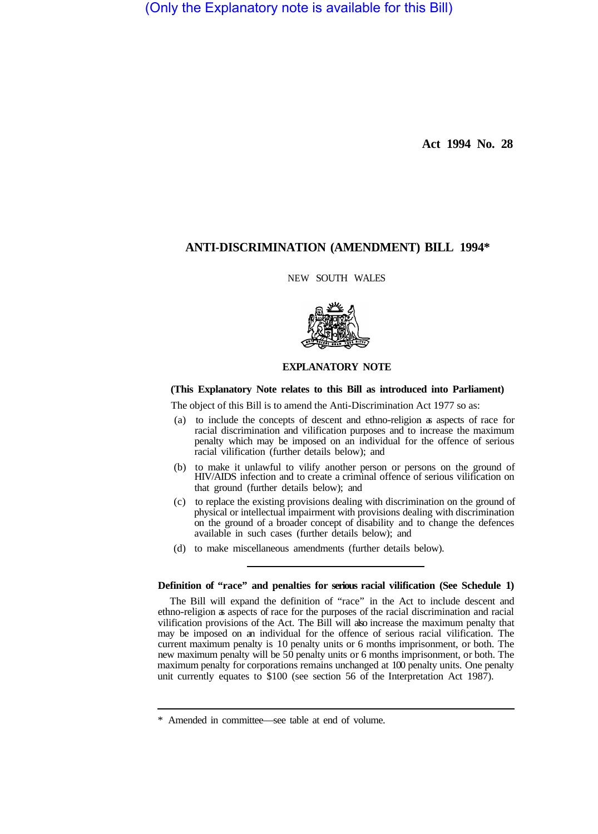(Only the Explanatory note is available for this Bill)

**Act 1994 No. 28** 

# **ANTI-DISCRIMINATION (AMENDMENT) BILL 1994\***

NEW SOUTH WALES



### **EXPLANATORY NOTE**

## **(This Explanatory Note relates to this Bill as introduced into Parliament)**

The object of this Bill is to amend the Anti-Discrimination Act 1977 so as:

- (a) to include the concepts of descent and ethno-religion as aspects of race for racial discrimination and vilification purposes and to increase the maximum penalty which may be imposed on an individual for the offence of serious racial vilification (further details below); and
- (b) to make it unlawful to vilify another person or persons on the ground of HIV/AIDS infection and to create a criminal offence of serious vilification on that ground (further details below); and
- (c) to replace the existing provisions dealing with discrimination on the ground of physical or intellectual impairment with provisions dealing with discrimination on the ground of a broader concept of disability and to change the defences available in such cases (further details below); and
- (d) to make miscellaneous amendments (further details below).

### **Definition of "race" and penalties for serious racial vilification (See Schedule 1)**

The Bill will expand the definition of "race" in the Act to include descent and ethno-religion as aspects of race for the purposes of the racial discrimination and racial vilification provisions of the Act. The Bill will also increase the maximum penalty that may be imposed on an individual for the offence of serious racial vilification. The current maximum penalty is 10 penalty units or 6 months imprisonment, or both. The new maximum penalty will be 50 penalty units or 6 months imprisonment, or both. The maximum penalty for corporations remains unchanged at 100 penalty units. One penalty unit currently equates to \$100 (see section 56 of the Interpretation Act 1987).

<sup>\*</sup> Amended in committee—see table at end of volume.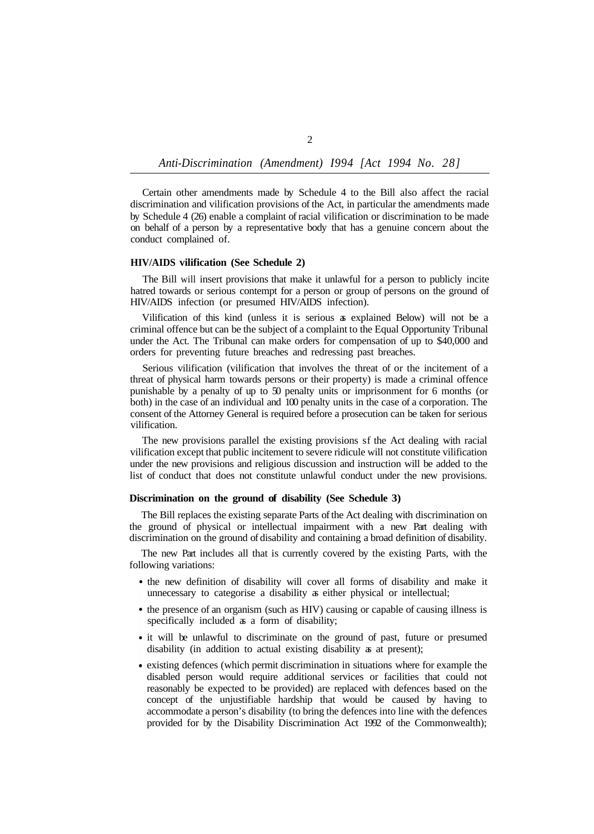*Anti-Discrimination (Amendment) I994 [Act 1994 No. 28]* 

Certain other amendments made by Schedule 4 to the Bill also affect the racial discrimination and vilification provisions of the Act, in particular the amendments made by Schedule 4 (26) enable a complaint of racial vilification or discrimination to be made on behalf of a person by a representative body that has a genuine concern about the conduct complained of.

## **HIV/AIDS vilification (See Schedule 2)**

The Bill will insert provisions that make it unlawful for a person to publicly incite hatred towards or serious contempt for a person or group of persons on the ground of HIV/AIDS infection (or presumed HIV/AIDS infection).

Vilification of this kind (unless it is serious as explained Below) will not be a criminal offence but can be the subject of a complaint to the Equal Opportunity Tribunal under the Act. The Tribunal can make orders for compensation of up to \$40,000 and orders for preventing future breaches and redressing past breaches.

Serious vilification (vilification that involves the threat of or the incitement of a threat of physical harm towards persons or their property) is made a criminal offence punishable by a penalty of up to 50 penalty units or imprisonment for 6 months (or both) in the case of an individual and 100 penalty units in the case of a corporation. The consent of the Attorney General is required before a prosecution can be taken for serious vilification.

The new provisions parallel the existing provisions sf the Act dealing with racial vilification except that public incitement to severe ridicule will not constitute vilification under the new provisions and religious discussion and instruction will be added to the list of conduct that does not constitute unlawful conduct under the new provisions.

## **Discrimination on the ground of disability (See Schedule 3)**

The Bill replaces the existing separate Parts of the Act dealing with discrimination on the ground of physical or intellectual impairment with a new Part dealing with discrimination on the ground of disability and containing a broad definition of disability.

The new Part includes all that is currently covered by the existing Parts, with the following variations:

- the new definition of disability will cover all forms of disability and make it unnecessary to categorise a disability as either physical or intellectual;
- the presence of an organism (such as HIV) causing or capable of causing illness is specifically included as a form of disability;
- it will be unlawful to discriminate on the ground of past, future or presumed disability (in addition to actual existing disability as at present);
- existing defences (which permit discrimination in situations where for example the disabled person would require additional services or facilities that could not reasonably be expected to be provided) are replaced with defences based on the concept of the unjustifiable hardship that would be caused by having to accommodate a person's disability (to bring the defences into line with the defences provided for by the Disability Discrimination Act 1992 of the Commonwealth);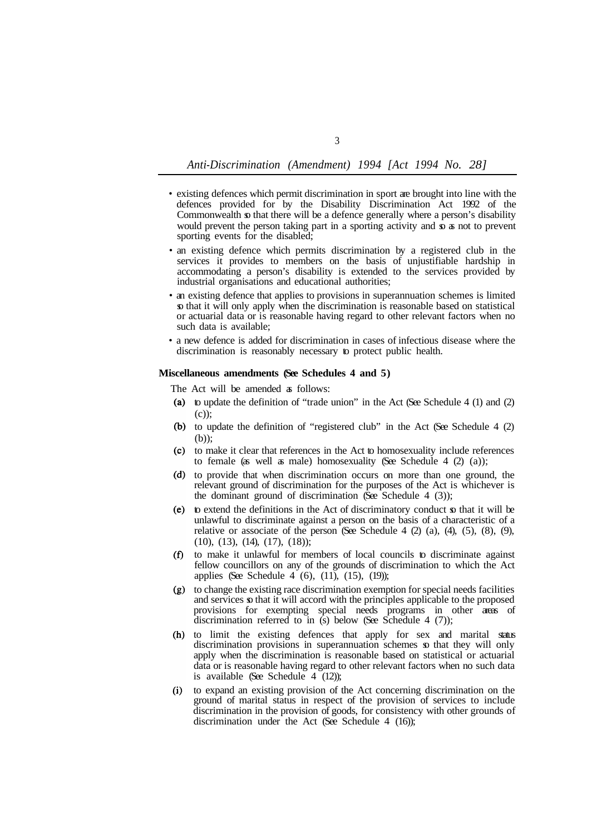*Anti-Discrimination (Amendment) 1994 [Act 1994 No. 28]* 

- existing defences which permit discrimination in sport are brought into line with the defences provided for by the Disability Discrimination Act 1992 of the Commonwealth so that there will be a defence generally where a person's disability would prevent the person taking part in a sporting activity and so as not to prevent sporting events for the disabled;
- an existing defence which permits discrimination by a registered club in the services it provides to members on the basis of unjustifiable hardship in accommodating a person's disability is extended to the services provided by industrial organisations and educational authorities;
- an existing defence that applies to provisions in superannuation schemes is limited so that it will only apply when the discrimination is reasonable based on statistical or actuarial data or is reasonable having regard to other relevant factors when no such data is available;
- a new defence is added for discrimination in cases of infectious disease where the discrimination is reasonably necessary to protect public health.

#### **Miscellaneous amendments (See Schedules 4 and 5)**

The Act will be amended a follows:

- (a) to update the definition of "trade union" in the Act (See Schedule 4 (1) and  $(2)$ (c));
- (b) to update the definition of "registered club" in the Act (See Schedule 4 (2) (b));
- to make it clear that references in the Act to homosexuality include references to female (as well as male) homosexuality (See Schedule  $4$  (2) (a));
- (d) to provide that when discrimination occurs on more than one ground, the relevant ground of discrimination for the purposes of the Act is whichever is the dominant ground of discrimination (See Schedule 4  $(3)$ );
- $(e)$  to extend the definitions in the Act of discriminatory conduct  $\infty$  that it will be unlawful to discriminate against a person on the basis of a characteristic of a relative or associate of the person (See Schedule 4  $(2)$   $(a)$ ,  $(4)$ ,  $(5)$ ,  $(8)$ ,  $(9)$ , (10), (13), (14), (17), (18));
- to make it unlawful for members of local councils to discriminate against  $(f)$ fellow councillors on any of the grounds of discrimination to which the Act applies (See Schedule 4 (6), (11), (15), (19));
- $(g)$ to change the existing race discrimination exemption for special needs facilities and services so that it will accord with the principles applicable to the proposed provisions for exempting special needs programs in other areas of discrimination referred to in  $(s)$  below (See Schedule 4 (7));
- to limit the existing defences that apply for sex and marital status discrimination provisions in superannuation schemes so that they will only apply when the discrimination is reasonable based on statistical or actuarial data or is reasonable having regard to other relevant factors when no such data is available (See Schedule  $4(12)$ );
- to expand an existing provision of the Act concerning discrimination on the ground of marital status in respect of the provision of services to include discrimination in the provision of goods, for consistency with other grounds of discrimination under the Act (See Schedule 4 (16));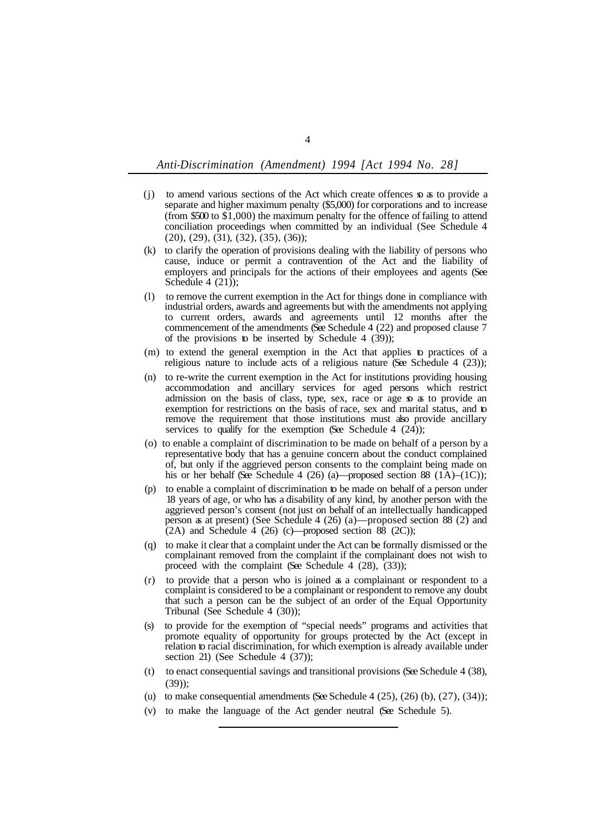## *Anti-Discrimination (Amendment) 1994 [Act 1994 No. 28]*

- (j) to amend various sections of the Act which create offences so as to provide a separate and higher maximum penalty (\$5,000) for corporations and to increase (from \$500 to \$1,000) the maximum penalty for the offence of failing to attend conciliation proceedings when committed by an individual (See Schedule 4 (20), (29), (31), (32), (35), (36));
- (k) to clarify the operation of provisions dealing with the liability of persons who cause, induce or permit a contravention of the Act and the liability of employers and principals for the actions of their employees and agents (See Schedule 4  $(21)$ ;
- (l) to remove the current exemption in the Act for things done in compliance with industrial orders, awards and agreements but with the amendments not applying to current orders, awards and agreements until 12 months after the commencement of the amendments (See Schedule 4 (22) and proposed clause 7 of the provisions to be inserted by Schedule 4  $(39)$ ;
- (m) to extend the general exemption in the Act that applies to practices of a religious nature to include acts of a religious nature (See Schedule 4 (23));
- (n) to re-write the current exemption in the Act for institutions providing housing accommodation and ancillary services for aged persons which restrict admission on the basis of class, type, sex, race or age so as to provide an exemption for restrictions on the basis of race, sex and marital status, and to remove the requirement that those institutions must also provide ancillary services to qualify for the exemption (See Schedule 4  $(24)$ );
- representative body that has a genuine concern about the conduct complained of, but only if the aggrieved person consents to the complaint being made on his or her behalf (See Schedule 4 (26) (a)—proposed section 88 (1A)–(1C)); (o) to enable a complaint of discrimination to be made on behalf of a person by a
- (p) to enable a complaint of discrimination to be made on behalf of a person under 18 years of age, or who has a disability of any kind, by another person with the aggrieved person's consent (not just on behalf of an intellectually handicapped person as at present) (See Schedule 4 (26) (a)—proposed section 88 (2) and  $(2A)$  and Schedule 4 (26) (c)—proposed section 88 (2C));
- (q) to make it clear that a complaint under the Act can be formally dismissed or the complainant removed from the complaint if the complainant does not wish to proceed with the complaint (See Schedule 4  $(28)$ ,  $(33)$ );
- (r) to provide that a person who is joined as a complainant or respondent to a complaint is considered to be a complainant or respondent to remove any doubt that such a person can be the subject of an order of the Equal Opportunity Tribunal (See Schedule 4 (30));
- (s) to provide for the exemption of "special needs" programs and activities that promote equality of opportunity for groups protected by the Act (except in relation to racial discrimination, for which exemption is already available under section 21) (See Schedule 4 (37));
- (t) to enact consequential savings and transitional provisions (See Schedule 4 (38),  $(39)$ ;
- (u) to make consequential amendments (See Schedule  $4(25)$ ,  $(26)$  (b),  $(27)$ ,  $(34)$ );
- (v) to make the language of the Act gender neutral (See Schedule 5).